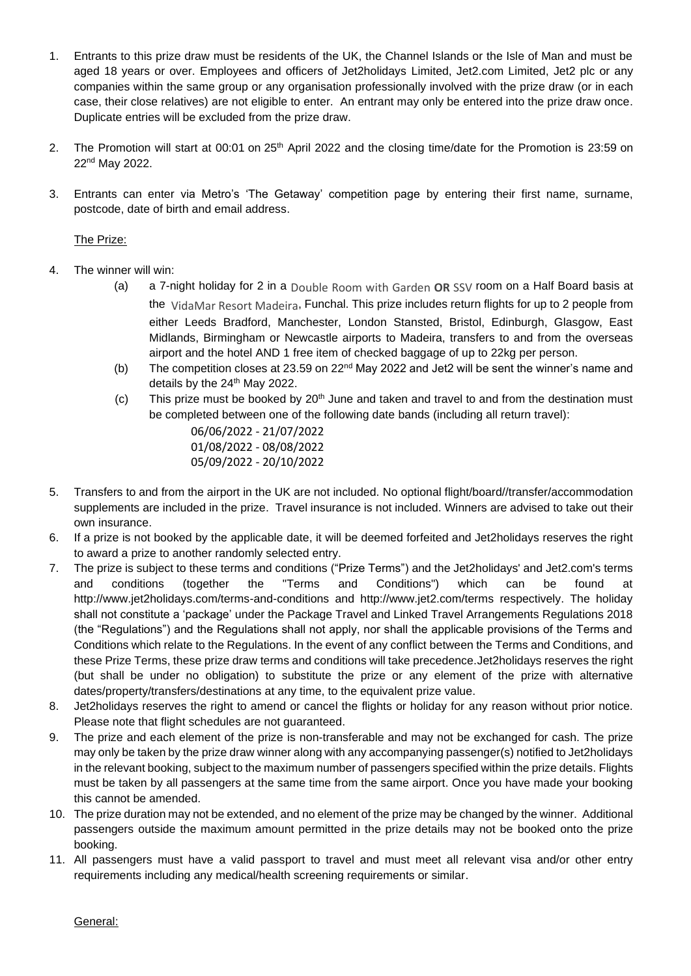- 1. Entrants to this prize draw must be residents of the UK, the Channel Islands or the Isle of Man and must be aged 18 years or over. Employees and officers of Jet2holidays Limited, Jet2.com Limited, Jet2 plc or any companies within the same group or any organisation professionally involved with the prize draw (or in each case, their close relatives) are not eligible to enter. An entrant may only be entered into the prize draw once. Duplicate entries will be excluded from the prize draw.
- 2. The Promotion will start at 00:01 on 25<sup>th</sup> April 2022 and the closing time/date for the Promotion is 23:59 on 22nd May 2022.
- 3. Entrants can enter via Metro's 'The Getaway' competition page by entering their first name, surname, postcode, date of birth and email address.

## The Prize:

- 4. The winner will win:
	- (a) a 7-night holiday for 2 in a Double Room with Garden **OR** SSV room on a Half Board basis at the VidaMar Resort Madeira, Funchal. This prize includes return flights for up to 2 people from either Leeds Bradford, Manchester, London Stansted, Bristol, Edinburgh, Glasgow, East Midlands, Birmingham or Newcastle airports to Madeira, transfers to and from the overseas airport and the hotel AND 1 free item of checked baggage of up to 22kg per person.
	- (b) The competition closes at 23.59 on 22<sup>nd</sup> May 2022 and Jet2 will be sent the winner's name and details by the 24<sup>th</sup> May 2022.
	- (c) This prize must be booked by  $20<sup>th</sup>$  June and taken and travel to and from the destination must be completed between one of the following date bands (including all return travel):

06/06/2022 - 21/07/2022 01/08/2022 - 08/08/2022 05/09/2022 - 20/10/2022

- 5. Transfers to and from the airport in the UK are not included. No optional flight/board//transfer/accommodation supplements are included in the prize. Travel insurance is not included. Winners are advised to take out their own insurance.
- 6. If a prize is not booked by the applicable date, it will be deemed forfeited and Jet2holidays reserves the right to award a prize to another randomly selected entry.
- 7. The prize is subject to these terms and conditions ("Prize Terms") and the Jet2holidays' and Jet2.com's terms and conditions (together the "Terms and Conditions") which can be found at http://www.jet2holidays.com/terms-and-conditions and http://www.jet2.com/terms respectively. The holiday shall not constitute a 'package' under the Package Travel and Linked Travel Arrangements Regulations 2018 (the "Regulations") and the Regulations shall not apply, nor shall the applicable provisions of the Terms and Conditions which relate to the Regulations. In the event of any conflict between the Terms and Conditions, and these Prize Terms, these prize draw terms and conditions will take precedence.Jet2holidays reserves the right (but shall be under no obligation) to substitute the prize or any element of the prize with alternative dates/property/transfers/destinations at any time, to the equivalent prize value.
- 8. Jet2holidays reserves the right to amend or cancel the flights or holiday for any reason without prior notice. Please note that flight schedules are not guaranteed.
- 9. The prize and each element of the prize is non-transferable and may not be exchanged for cash. The prize may only be taken by the prize draw winner along with any accompanying passenger(s) notified to Jet2holidays in the relevant booking, subject to the maximum number of passengers specified within the prize details. Flights must be taken by all passengers at the same time from the same airport. Once you have made your booking this cannot be amended.
- 10. The prize duration may not be extended, and no element of the prize may be changed by the winner. Additional passengers outside the maximum amount permitted in the prize details may not be booked onto the prize booking.
- 11. All passengers must have a valid passport to travel and must meet all relevant visa and/or other entry requirements including any medical/health screening requirements or similar.

General: